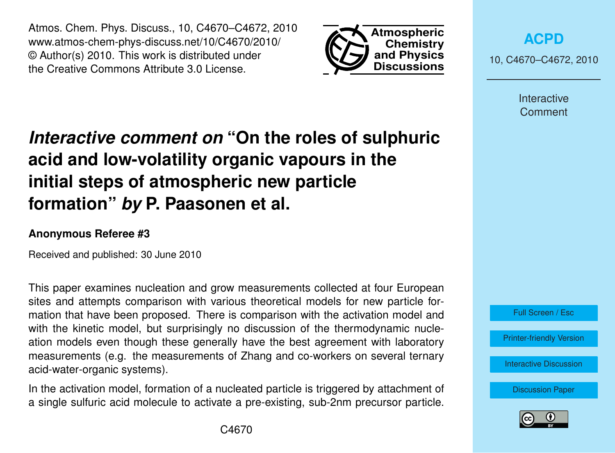Atmos. Chem. Phys. Discuss., 10, C4670–C4672, 2010 www.atmos-chem-phys-discuss.net/10/C4670/2010/ © Author(s) 2010. This work is distributed under the Creative Commons Attribute 3.0 License.



**[ACPD](http://www.atmos-chem-phys-discuss.net)**

10, C4670–C4672, 2010

Interactive **Comment** 

## *Interactive comment on* **"On the roles of sulphuric acid and low-volatility organic vapours in the initial steps of atmospheric new particle formation"** *by* **P. Paasonen et al.**

## **Anonymous Referee #3**

Received and published: 30 June 2010

This paper examines nucleation and grow measurements collected at four European sites and attempts comparison with various theoretical models for new particle formation that have been proposed. There is comparison with the activation model and with the kinetic model, but surprisingly no discussion of the thermodynamic nucleation models even though these generally have the best agreement with laboratory measurements (e.g. the measurements of Zhang and co-workers on several ternary acid-water-organic systems).

In the activation model, formation of a nucleated particle is triggered by attachment of a single sulfuric acid molecule to activate a pre-existing, sub-2nm precursor particle.



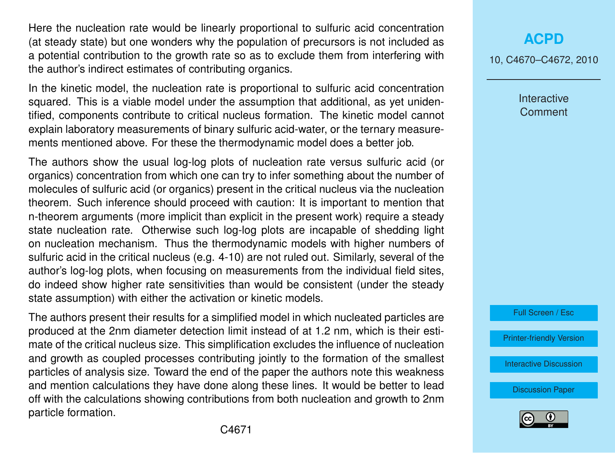Here the nucleation rate would be linearly proportional to sulfuric acid concentration (at steady state) but one wonders why the population of precursors is not included as a potential contribution to the growth rate so as to exclude them from interfering with the author's indirect estimates of contributing organics.

In the kinetic model, the nucleation rate is proportional to sulfuric acid concentration squared. This is a viable model under the assumption that additional, as yet unidentified, components contribute to critical nucleus formation. The kinetic model cannot explain laboratory measurements of binary sulfuric acid-water, or the ternary measurements mentioned above. For these the thermodynamic model does a better job.

The authors show the usual log-log plots of nucleation rate versus sulfuric acid (or organics) concentration from which one can try to infer something about the number of molecules of sulfuric acid (or organics) present in the critical nucleus via the nucleation theorem. Such inference should proceed with caution: It is important to mention that n-theorem arguments (more implicit than explicit in the present work) require a steady state nucleation rate. Otherwise such log-log plots are incapable of shedding light on nucleation mechanism. Thus the thermodynamic models with higher numbers of sulfuric acid in the critical nucleus (e.g. 4-10) are not ruled out. Similarly, several of the author's log-log plots, when focusing on measurements from the individual field sites, do indeed show higher rate sensitivities than would be consistent (under the steady state assumption) with either the activation or kinetic models.

The authors present their results for a simplified model in which nucleated particles are produced at the 2nm diameter detection limit instead of at 1.2 nm, which is their estimate of the critical nucleus size. This simplification excludes the influence of nucleation and growth as coupled processes contributing jointly to the formation of the smallest particles of analysis size. Toward the end of the paper the authors note this weakness and mention calculations they have done along these lines. It would be better to lead off with the calculations showing contributions from both nucleation and growth to 2nm particle formation.

## **[ACPD](http://www.atmos-chem-phys-discuss.net)**

10, C4670–C4672, 2010

Interactive **Comment** 



[Printer-friendly Version](http://www.atmos-chem-phys-discuss.net/10/C4670/2010/acpd-10-C4670-2010-print.pdf)

[Interactive Discussion](http://www.atmos-chem-phys-discuss.net/10/11795/2010/acpd-10-11795-2010-discussion.html)

[Discussion Paper](http://www.atmos-chem-phys-discuss.net/10/11795/2010/acpd-10-11795-2010.pdf)